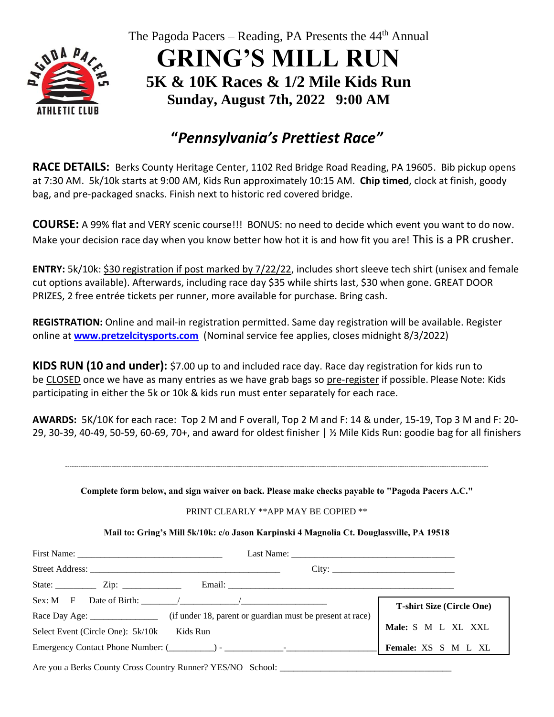

The Pagoda Pacers – Reading, PA Presents the 44<sup>th</sup> Annual

**GRING'S MILL RUN 5K & 10K Races & 1/2 Mile Kids Run Sunday, August 7th, 2022 9:00 AM**

# **"***Pennsylvania's Prettiest Race"*

**RACE DETAILS:** Berks County Heritage Center, 1102 Red Bridge Road Reading, PA 19605. Bib pickup opens at 7:30 AM. 5k/10k starts at 9:00 AM, Kids Run approximately 10:15 AM. **Chip timed**, clock at finish, goody bag, and pre-packaged snacks. Finish next to historic red covered bridge.

**COURSE:** A 99% flat and VERY scenic course!!! BONUS: no need to decide which event you want to do now. Make your decision race day when you know better how hot it is and how fit you are! This is a PR crusher.

**ENTRY:** 5k/10k: \$30 registration if post marked by 7/22/22, includes short sleeve tech shirt (unisex and female cut options available). Afterwards, including race day \$35 while shirts last, \$30 when gone. GREAT DOOR PRIZES, 2 free entrée tickets per runner, more available for purchase. Bring cash.

**REGISTRATION:** Online and mail-in registration permitted. Same day registration will be available. Register online at **[www.pretzelcitysports.com](http://www.pretzelcitysports.com/)** (Nominal service fee applies, closes midnight 8/3/2022)

**KIDS RUN (10 and under):** \$7.00 up to and included race day. Race day registration for kids run to be CLOSED once we have as many entries as we have grab bags so pre-register if possible. Please Note: Kids participating in either the 5k or 10k & kids run must enter separately for each race.

**AWARDS:** 5K/10K for each race: Top 2 M and F overall, Top 2 M and F: 14 & under, 15-19, Top 3 M and F: 20- 29, 30-39, 40-49, 50-59, 60-69, 70+, and award for oldest finisher | ½ Mile Kids Run: goodie bag for all finishers

-----------------------------------------------------------------------------------------------------------------------------------------------------------------------------------------------

**Complete form below, and sign waiver on back. Please make checks payable to "Pagoda Pacers A.C."**

## PRINT CLEARLY \*\*APP MAY BE COPIED \*\*

**Mail to: Gring's Mill 5k/10k: c/o Jason Karpinski 4 Magnolia Ct. Douglassville, PA 19518**

|                                                                                              | City:                            |
|----------------------------------------------------------------------------------------------|----------------------------------|
| State: $\qquad \qquad \text{Zip: } \qquad \qquad$                                            |                                  |
|                                                                                              | <b>T-shirt Size (Circle One)</b> |
| Race Day Age: ____________________ (if under 18, parent or guardian must be present at race) |                                  |
| Kids Run<br>Select Event (Circle One): 5k/10k                                                | Male: S M L XL XXL               |
|                                                                                              | Female: XS S M L XL              |
|                                                                                              |                                  |